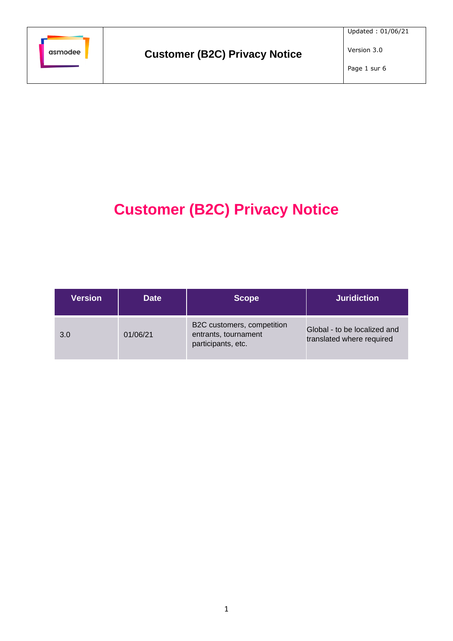

Page 1 sur 6

# **Customer (B2C) Privacy Notice**

| <b>Version</b> | <b>Date</b> | <b>Scope</b>                                                             | <b>Juridiction</b>                                        |
|----------------|-------------|--------------------------------------------------------------------------|-----------------------------------------------------------|
| 3.0            | 01/06/21    | B2C customers, competition<br>entrants, tournament<br>participants, etc. | Global - to be localized and<br>translated where required |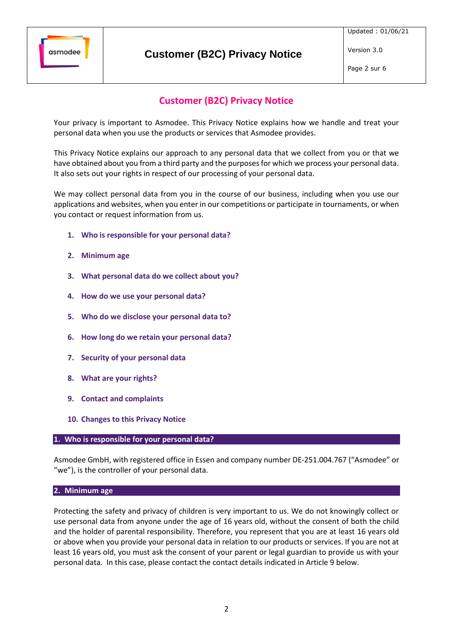

Page 2 sur 6

# **Customer (B2C) Privacy Notice**

## **Customer (B2C) Privacy Notice**

Your privacy is important to Asmodee. This Privacy Notice explains how we handle and treat your personal data when you use the products or services that Asmodee provides.

This Privacy Notice explains our approach to any personal data that we collect from you or that we have obtained about you from a third party and the purposes for which we process your personal data. It also sets out your rights in respect of our processing of your personal data.

We may collect personal data from you in the course of our business, including when you use our applications and websites, when you enter in our competitions or participate in tournaments, or when you contact or request information from us.

- **1. Who is responsible for your personal data?**
- **2. Minimum age**
- **3. What personal data do we collect about you?**
- <span id="page-1-0"></span>**4. How do we use your personal data?**
- **5. Who do we disclose your personal data to?**
- **6. How long do we retain your personal data?**
- **7. Security of your personal data**
- **8. What are your rights?**
- **9. Contact and complaints**
- **10. Changes to this Privacy Notice**

#### **1. Who is responsible for your personal data?**

Asmodee GmbH, with registered office in Essen and company number DE-251.004.767 ("Asmodee" or "we"), is the controller of your personal data.

#### **2. Minimum age**

Protecting the safety and privacy of children is very important to us. We do not knowingly collect or use personal data from anyone under the age of 16 years old, without the consent of both the child and the holder of parental responsibility. Therefore, you represent that you are at least 16 years old or above when you provide your personal data in relation to our products or services. If you are not at least 16 years old, you must ask the consent of your parent or legal guardian to provide us with your personal data. In this case, please contact the contact details indicated in Articl[e 9](#page-5-0) below.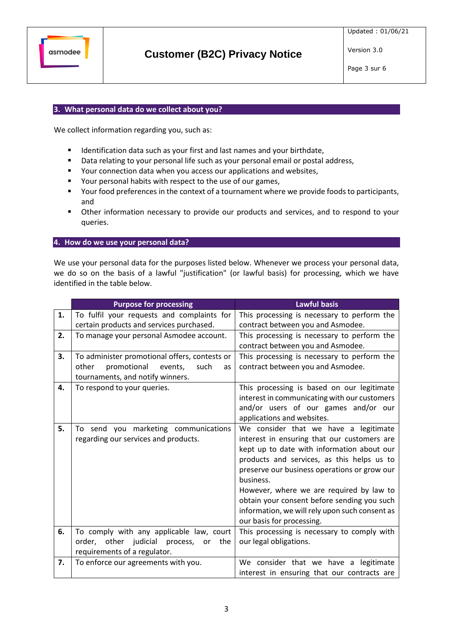

## **3. What personal data do we collect about you?**

We collect information regarding you, such as:

- Identification data such as your first and last names and your birthdate,
- Data relating to your personal life such as your personal email or postal address,
- Your connection data when you access our applications and websites,
- Your personal habits with respect to the use of our games,
- Your food preferences in the context of a tournament where we provide foods to participants, and
- Other information necessary to provide our products and services, and to respond to your queries.

#### **4. How do we use your personal data?**

We use your personal data for the purposes listed below. Whenever we process your personal data, we do so on the basis of a lawful "justification" (or lawful basis) for processing, which we have identified in the table below.

|    | <b>Purpose for processing</b>                 | <b>Lawful basis</b>                            |
|----|-----------------------------------------------|------------------------------------------------|
| 1. | To fulfil your requests and complaints for    | This processing is necessary to perform the    |
|    | certain products and services purchased.      | contract between you and Asmodee.              |
| 2. | To manage your personal Asmodee account.      | This processing is necessary to perform the    |
|    |                                               | contract between you and Asmodee.              |
| 3. | To administer promotional offers, contests or | This processing is necessary to perform the    |
|    | promotional<br>other<br>events,<br>such<br>as | contract between you and Asmodee.              |
|    | tournaments, and notify winners.              |                                                |
| 4. | To respond to your queries.                   | This processing is based on our legitimate     |
|    |                                               | interest in communicating with our customers   |
|    |                                               | and/or users of our games and/or our           |
|    |                                               | applications and websites.                     |
| 5. | To send you marketing communications          | We consider that we have a legitimate          |
|    | regarding our services and products.          | interest in ensuring that our customers are    |
|    |                                               | kept up to date with information about our     |
|    |                                               | products and services, as this helps us to     |
|    |                                               | preserve our business operations or grow our   |
|    |                                               | business.                                      |
|    |                                               | However, where we are required by law to       |
|    |                                               | obtain your consent before sending you such    |
|    |                                               | information, we will rely upon such consent as |
|    |                                               | our basis for processing.                      |
| 6. | To comply with any applicable law, court      | This processing is necessary to comply with    |
|    | order, other judicial process,<br>the<br>or   | our legal obligations.                         |
|    | requirements of a regulator.                  |                                                |
| 7. | To enforce our agreements with you.           | We consider that we have a legitimate          |
|    |                                               | interest in ensuring that our contracts are    |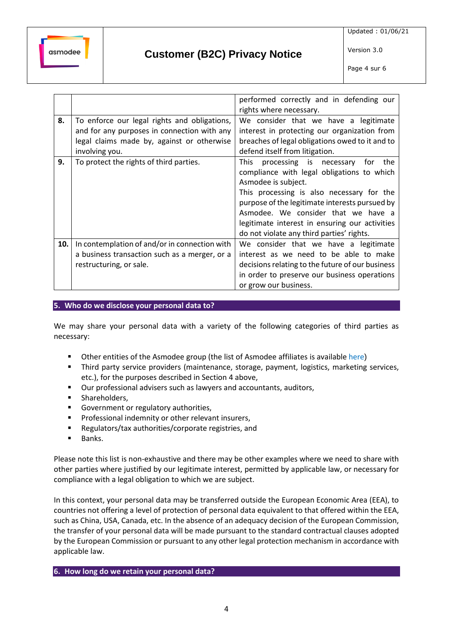

Page 4 sur 6

|     |                                               | performed correctly and in defending our         |
|-----|-----------------------------------------------|--------------------------------------------------|
|     |                                               | rights where necessary.                          |
| 8.  | To enforce our legal rights and obligations,  | We consider that we have a legitimate            |
|     | and for any purposes in connection with any   | interest in protecting our organization from     |
|     | legal claims made by, against or otherwise    | breaches of legal obligations owed to it and to  |
|     | involving you.                                | defend itself from litigation.                   |
| 9.  | To protect the rights of third parties.       | processing is necessary<br>the<br>This<br>for    |
|     |                                               | compliance with legal obligations to which       |
|     |                                               | Asmodee is subject.                              |
|     |                                               | This processing is also necessary for the        |
|     |                                               | purpose of the legitimate interests pursued by   |
|     |                                               | Asmodee. We consider that we have a              |
|     |                                               | legitimate interest in ensuring our activities   |
|     |                                               | do not violate any third parties' rights.        |
| 10. | In contemplation of and/or in connection with | We consider that we have a legitimate            |
|     | a business transaction such as a merger, or a | interest as we need to be able to make           |
|     | restructuring, or sale.                       | decisions relating to the future of our business |
|     |                                               | in order to preserve our business operations     |
|     |                                               | or grow our business.                            |

**5. Who do we disclose your personal data to?**

We may share your personal data with a variety of the following categories of third parties as necessary:

- Other entities of the Asmodee group (the list of Asmodee affiliates is available [here](https://cdn.svc.asmodee.net/corporate/uploads/Templates/Asmodee_group_companies_EN.pdf))
- **•** Third party service providers (maintenance, storage, payment, logistics, marketing services, etc.), for the purposes described in Section [4](#page-1-0) above,
- Our professional advisers such as lawyers and accountants, auditors,
- **■** Shareholders,
- Government or regulatory authorities,
- Professional indemnity or other relevant insurers,
- Regulators/tax authorities/corporate registries, and
- Banks.

Please note this list is non-exhaustive and there may be other examples where we need to share with other parties where justified by our legitimate interest, permitted by applicable law, or necessary for compliance with a legal obligation to which we are subject.

In this context, your personal data may be transferred outside the European Economic Area (EEA), to countries not offering a level of protection of personal data equivalent to that offered within the EEA, such as China, USA, Canada, etc. In the absence of an adequacy decision of the European Commission, the transfer of your personal data will be made pursuant to the standard contractual clauses adopted by the European Commission or pursuant to any other legal protection mechanism in accordance with applicable law.

**6. How long do we retain your personal data?**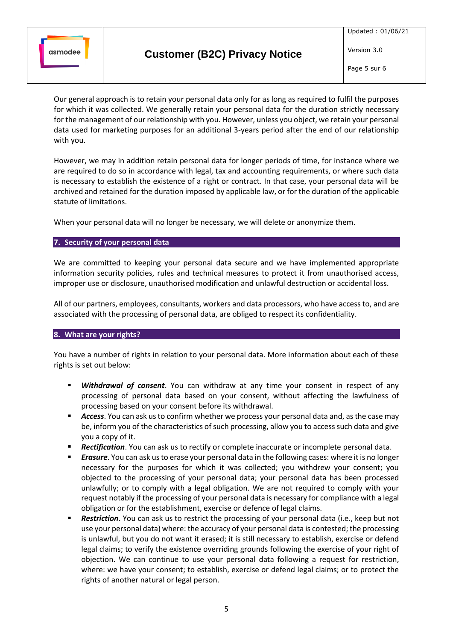

Page 5 sur 6

Our general approach is to retain your personal data only for as long as required to fulfil the purposes for which it was collected. We generally retain your personal data for the duration strictly necessary for the management of our relationship with you. However, unless you object, we retain your personal data used for marketing purposes for an additional 3-years period after the end of our relationship with you.

However, we may in addition retain personal data for longer periods of time, for instance where we are required to do so in accordance with legal, tax and accounting requirements, or where such data is necessary to establish the existence of a right or contract. In that case, your personal data will be archived and retained for the duration imposed by applicable law, or for the duration of the applicable statute of limitations.

When your personal data will no longer be necessary, we will delete or anonymize them.

### **7. Security of your personal data**

We are committed to keeping your personal data secure and we have implemented appropriate information security policies, rules and technical measures to protect it from unauthorised access, improper use or disclosure, unauthorised modification and unlawful destruction or accidental loss.

All of our partners, employees, consultants, workers and data processors, who have access to, and are associated with the processing of personal data, are obliged to respect its confidentiality.

#### **8. What are your rights?**

You have a number of rights in relation to your personal data. More information about each of these rights is set out below:

- **E** *Withdrawal of consent*. You can withdraw at any time your consent in respect of any processing of personal data based on your consent, without affecting the lawfulness of processing based on your consent before its withdrawal.
- **EXECCESS.** You can ask us to confirm whether we process your personal data and, as the case may be, inform you of the characteristics of such processing, allow you to access such data and give you a copy of it.
- **EXECTIFICATION**. You can ask us to rectify or complete inaccurate or incomplete personal data.
- *Erasure*. You can ask us to erase your personal data in the following cases: where it is no longer necessary for the purposes for which it was collected; you withdrew your consent; you objected to the processing of your personal data; your personal data has been processed unlawfully; or to comply with a legal obligation. We are not required to comply with your request notably if the processing of your personal data is necessary for compliance with a legal obligation or for the establishment, exercise or defence of legal claims.
- **Restriction**. You can ask us to restrict the processing of your personal data (i.e., keep but not use your personal data) where: the accuracy of your personal data is contested; the processing is unlawful, but you do not want it erased; it is still necessary to establish, exercise or defend legal claims; to verify the existence overriding grounds following the exercise of your right of objection. We can continue to use your personal data following a request for restriction, where: we have your consent; to establish, exercise or defend legal claims; or to protect the rights of another natural or legal person.